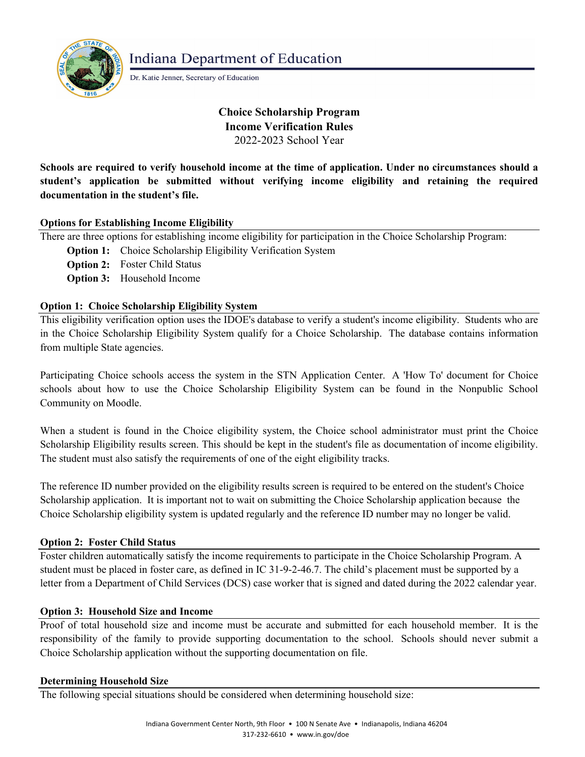

**Indiana Department of Education** 

Dr. Katie Jenner, Secretary of Education

# **Choice Scholarship Program Income Verification Rules** 2022-2023 School Year

**Schools are required to verify household income at the time of application. Under no circumstances should a student's application be submitted without verifying income eligibility and retaining the required documentation in the student's file.**

# **Options for Establishing Income Eligibility**

There are three options for establishing income eligibility for participation in the Choice Scholarship Program:

- **Option 1:** Choice Scholarship Eligibility Verification System
- **Option 2:** Foster Child Status
- **Option 3:** Household Income

# **Option 1: Choice Scholarship Eligibility System**

This eligibility verification option uses the IDOE's database to verify a student's income eligibility. Students who are in the Choice Scholarship Eligibility System qualify for a Choice Scholarship. The database contains information from multiple State agencies.

Participating Choice schools access the system in the STN Application Center. A 'How To' document for Choice schools about how to use the Choice Scholarship Eligibility System can be found in the Nonpublic School Community on Moodle.

When a student is found in the Choice eligibility system, the Choice school administrator must print the Choice Scholarship Eligibility results screen. This should be kept in the student's file as documentation of income eligibility. The student must also satisfy the requirements of one of the eight eligibility tracks.

The reference ID number provided on the eligibility results screen is required to be entered on the student's Choice Scholarship application. It is important not to wait on submitting the Choice Scholarship application because the Choice Scholarship eligibility system is updated regularly and the reference ID number may no longer be valid.

# **Option 2: Foster Child Status**

Foster children automatically satisfy the income requirements to participate in the Choice Scholarship Program. A student must be placed in foster care, as defined in IC 31-9-2-46.7. The child's placement must be supported by a letter from a Department of Child Services (DCS) case worker that is signed and dated during the 2022 calendar year.

# **Option 3: Household Size and Income**

Proof of total household size and income must be accurate and submitted for each household member. It is the responsibility of the family to provide supporting documentation to the school. Schools should never submit a Choice Scholarship application without the supporting documentation on file.

# **Determining Household Size**

The following special situations should be considered when determining household size: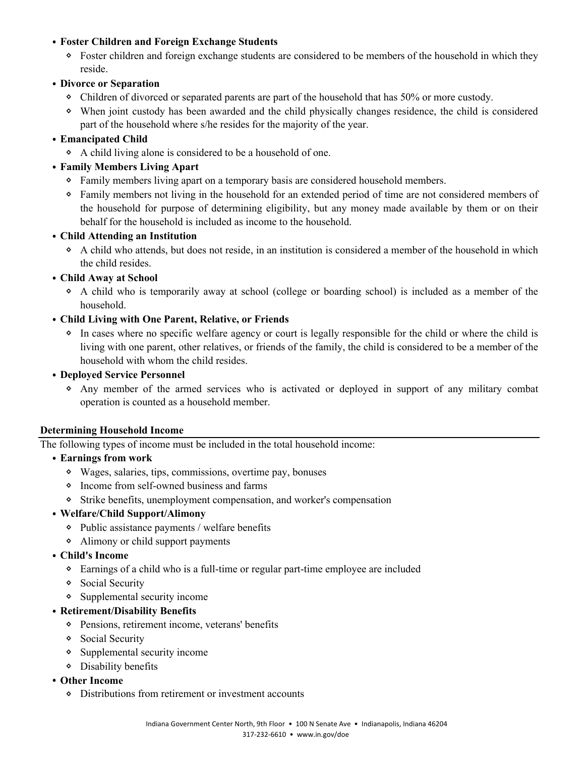# ⦁ **Foster Children and Foreign Exchange Students**

ᛜ Foster children and foreign exchange students are considered to be members of the household in which they reside.

# ⦁ **Divorce or Separation**

- ᛜ Children of divorced or separated parents are part of the household that has 50% or more custody.
- ᛜ When joint custody has been awarded and the child physically changes residence, the child is considered part of the household where s/he resides for the majority of the year.

# ⦁ **Emancipated Child**

ᛜ A child living alone is considered to be a household of one.

# ⦁ **Family Members Living Apart**

- ᛜ Family members living apart on a temporary basis are considered household members.
- ᛜ Family members not living in the household for an extended period of time are not considered members of the household for purpose of determining eligibility, but any money made available by them or on their behalf for the household is included as income to the household.

# ⦁ **Child Attending an Institution**

ᛜ A child who attends, but does not reside, in an institution is considered a member of the household in which the child resides.

# ⦁ **Child Away at School**

ᛜ A child who is temporarily away at school (college or boarding school) is included as a member of the household.

# ⦁ **Child Living with One Parent, Relative, or Friends**

ᛜ In cases where no specific welfare agency or court is legally responsible for the child or where the child is living with one parent, other relatives, or friends of the family, the child is considered to be a member of the household with whom the child resides.

# ⦁ **Deployed Service Personnel**

ᛜ Any member of the armed services who is activated or deployed in support of any military combat operation is counted as a household member.

# **Determining Household Income**

The following types of income must be included in the total household income:

- ⦁ **Earnings from work**
	- ᛜ Wages, salaries, tips, commissions, overtime pay, bonuses
	- ᛜ Income from self-owned business and farms
	- ᛜ Strike benefits, unemployment compensation, and worker's compensation

# ⦁ **Welfare/Child Support/Alimony**

- ᛜ Public assistance payments / welfare benefits
- ᛜ Alimony or child support payments

# ⦁ **Child's Income**

- ᛜ Earnings of a child who is a full-time or regular part-time employee are included
- ᛜ Social Security
- ᛜ Supplemental security income

# ⦁ **Retirement/Disability Benefits**

- ᛜ Pensions, retirement income, veterans' benefits
- ᛜ Social Security
- ᛜ Supplemental security income
- ᛜ Disability benefits

# ⦁ **Other Income**

ᛜ Distributions from retirement or investment accounts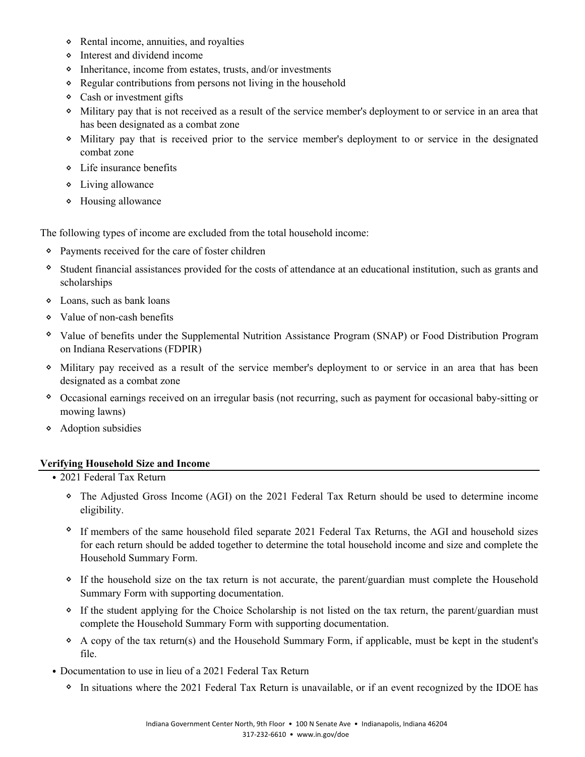- ᛜ Rental income, annuities, and royalties
- ᛜ Interest and dividend income
- ᛜ Inheritance, income from estates, trusts, and/or investments
- ᛜ Regular contributions from persons not living in the household
- ᛜ Cash or investment gifts
- ᛜ Military pay that is not received as a result of the service member's deployment to or service in an area that has been designated as a combat zone
- ᛜ Military pay that is received prior to the service member's deployment to or service in the designated combat zone
- ᛜ Life insurance benefits
- ᛜ Living allowance
- ᛜ Housing allowance

The following types of income are excluded from the total household income:

- ᛜ Payments received for the care of foster children
- ᛜ Student financial assistances provided for the costs of attendance at an educational institution, such as grants and scholarships
- ᛜ Loans, such as bank loans
- ᛜ Value of non-cash benefits
- ᛜ Value of benefits under the Supplemental Nutrition Assistance Program (SNAP) or Food Distribution Program on Indiana Reservations (FDPIR)
- ᛜ Military pay received as a result of the service member's deployment to or service in an area that has been designated as a combat zone
- ᛜ Occasional earnings received on an irregular basis (not recurring, such as payment for occasional baby-sitting or mowing lawns)
- ᛜ Adoption subsidies

#### **Verifying Household Size and Income**

- ⦁ 2021 Federal Tax Return
	- ᛜ The Adjusted Gross Income (AGI) on the 2021 Federal Tax Return should be used to determine income eligibility.
	- ᛜ If members of the same household filed separate 2021 Federal Tax Returns, the AGI and household sizes for each return should be added together to determine the total household income and size and complete the Household Summary Form.
	- ᛜ If the household size on the tax return is not accurate, the parent/guardian must complete the Household Summary Form with supporting documentation.
	- ᛜ If the student applying for the Choice Scholarship is not listed on the tax return, the parent/guardian must complete the Household Summary Form with supporting documentation.
	- ᛜ A copy of the tax return(s) and the Household Summary Form, if applicable, must be kept in the student's file.
- ⦁ Documentation to use in lieu of a 2021 Federal Tax Return
	- ᛜ In situations where the 2021 Federal Tax Return is unavailable, or if an event recognized by the IDOE has